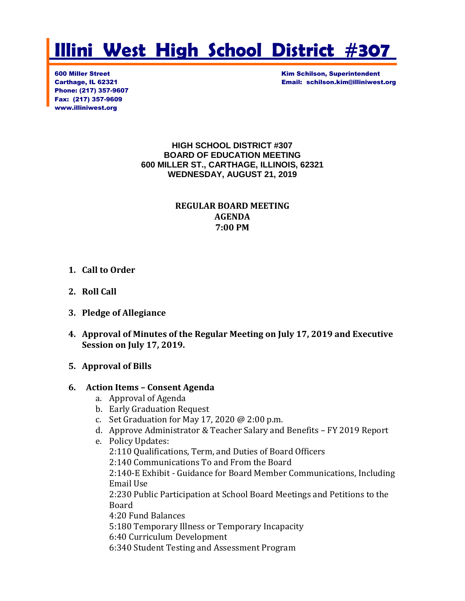# **Illini West High School District #307**

Phone: (217) 357-9607 Fax: (217) 357-9609 www.illiniwest.org

**600 Miller Street Kim Schilson, Superintendent** Carthage, IL 62321 Email: schilson.kim@illiniwest.org

#### **HIGH SCHOOL DISTRICT #307 BOARD OF EDUCATION MEETING 600 MILLER ST., CARTHAGE, ILLINOIS, 62321 WEDNESDAY, AUGUST 21, 2019**

#### **REGULAR BOARD MEETING AGENDA 7:00 PM**

#### **1. Call to Order**

- **2. Roll Call**
- **3. Pledge of Allegiance**
- **4. Approval of Minutes of the Regular Meeting on July 17, 2019 and Executive Session on July 17, 2019.**
- **5. Approval of Bills**

#### **6. Action Items – Consent Agenda**

- a. Approval of Agenda
- b. Early Graduation Request
- c. Set Graduation for May 17, 2020 @ 2:00 p.m.
- d. Approve Administrator & Teacher Salary and Benefits FY 2019 Report
- e. Policy Updates: 2:110 Qualifications, Term, and Duties of Board Officers 2:140 Communications To and From the Board 2:140-E Exhibit - Guidance for Board Member Communications, Including Email Use 2:230 Public Participation at School Board Meetings and Petitions to the Board 4:20 Fund Balances 5:180 Temporary Illness or Temporary Incapacity 6:40 Curriculum Development 6:340 Student Testing and Assessment Program